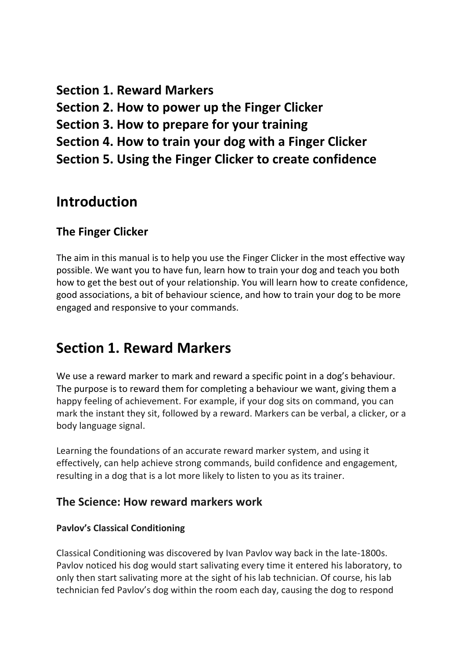**Section 1. Reward Markers Section 2. How to power up the Finger Clicker Section 3. How to prepare for your training Section 4. How to train your dog with a Finger Clicker Section 5. Using the Finger Clicker to create confidence** 

# **Introduction**

# **The Finger Clicker**

The aim in this manual is to help you use the Finger Clicker in the most effective way possible. We want you to have fun, learn how to train your dog and teach you both how to get the best out of your relationship. You will learn how to create confidence, good associations, a bit of behaviour science, and how to train your dog to be more engaged and responsive to your commands.

# **Section 1. Reward Markers**

We use a reward marker to mark and reward a specific point in a dog's behaviour. The purpose is to reward them for completing a behaviour we want, giving them a happy feeling of achievement. For example, if your dog sits on command, you can mark the instant they sit, followed by a reward. Markers can be verbal, a clicker, or a body language signal.

Learning the foundations of an accurate reward marker system, and using it effectively, can help achieve strong commands, build confidence and engagement, resulting in a dog that is a lot more likely to listen to you as its trainer.

# **The Science: How reward markers work**

# **Pavlov's Classical Conditioning**

Classical Conditioning was discovered by Ivan Pavlov way back in the late-1800s. Pavlov noticed his dog would start salivating every time it entered his laboratory, to only then start salivating more at the sight of his lab technician. Of course, his lab technician fed Pavlov's dog within the room each day, causing the dog to respond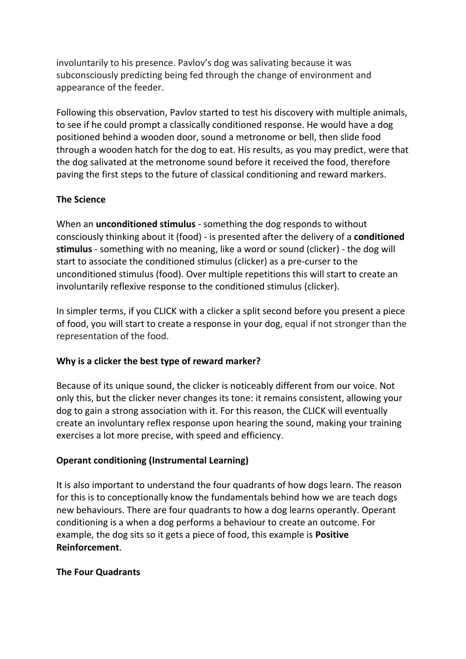involuntarily to his presence. Pavlov's dog was salivating because it was subconsciously predicting being fed through the change of environment and appearance of the feeder.

Following this observation, Pavlov started to test his discovery with multiple animals, to see if he could prompt a classically conditioned response. He would have a dog positioned behind a wooden door, sound a metronome or bell, then slide food through a wooden hatch for the dog to eat. His results, as you may predict, were that the dog salivated at the metronome sound before it received the food, therefore paving the first steps to the future of classical conditioning and reward markers.

# **The Science**

When an **unconditioned stimulus** - something the dog responds to without consciously thinking about it (food) - is presented after the delivery of a **conditioned stimulus** - something with no meaning, like a word or sound (clicker) - the dog will start to associate the conditioned stimulus (clicker) as a pre-curser to the unconditioned stimulus (food). Over multiple repetitions this will start to create an involuntarily reflexive response to the conditioned stimulus (clicker).

In simpler terms, if you CLICK with a clicker a split second before you present a piece of food, you will start to create a response in your dog, equal if not stronger than the representation of the food.

# **Why is a clicker the best type of reward marker?**

Because of its unique sound, the clicker is noticeably different from our voice. Not only this, but the clicker never changes its tone: it remains consistent, allowing your dog to gain a strong association with it. For this reason, the CLICK will eventually create an involuntary reflex response upon hearing the sound, making your training exercises a lot more precise, with speed and efficiency.

# **Operant conditioning (Instrumental Learning)**

It is also important to understand the four quadrants of how dogs learn. The reason for this is to conceptionally know the fundamentals behind how we are teach dogs new behaviours. There are four quadrants to how a dog learns operantly. Operant conditioning is a when a dog performs a behaviour to create an outcome. For example, the dog sits so it gets a piece of food, this example is **Positive Reinforcement**.

# **The Four Quadrants**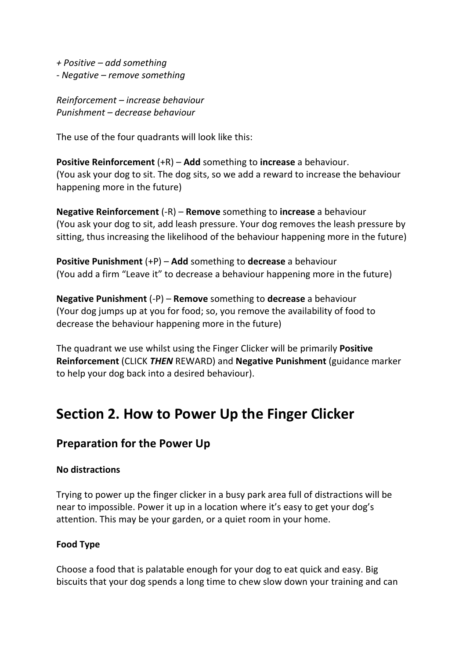*+ Positive – add something - Negative – remove something* 

*Reinforcement – increase behaviour Punishment – decrease behaviour* 

The use of the four quadrants will look like this:

**Positive Reinforcement** (+R) – **Add** something to **increase** a behaviour. (You ask your dog to sit. The dog sits, so we add a reward to increase the behaviour happening more in the future)

**Negative Reinforcement** (-R) – **Remove** something to **increase** a behaviour (You ask your dog to sit, add leash pressure. Your dog removes the leash pressure by sitting, thus increasing the likelihood of the behaviour happening more in the future)

**Positive Punishment** (+P) – **Add** something to **decrease** a behaviour (You add a firm "Leave it" to decrease a behaviour happening more in the future)

**Negative Punishment** (-P) – **Remove** something to **decrease** a behaviour (Your dog jumps up at you for food; so, you remove the availability of food to decrease the behaviour happening more in the future)

The quadrant we use whilst using the Finger Clicker will be primarily **Positive Reinforcement** (CLICK *THEN* REWARD) and **Negative Punishment** (guidance marker to help your dog back into a desired behaviour).

# **Section 2. How to Power Up the Finger Clicker**

# **Preparation for the Power Up**

# **No distractions**

Trying to power up the finger clicker in a busy park area full of distractions will be near to impossible. Power it up in a location where it's easy to get your dog's attention. This may be your garden, or a quiet room in your home.

# **Food Type**

Choose a food that is palatable enough for your dog to eat quick and easy. Big biscuits that your dog spends a long time to chew slow down your training and can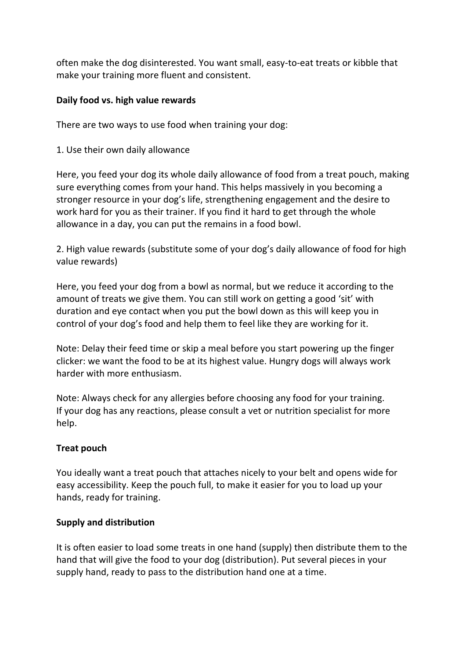often make the dog disinterested. You want small, easy-to-eat treats or kibble that make your training more fluent and consistent.

### **Daily food vs. high value rewards**

There are two ways to use food when training your dog:

### 1. Use their own daily allowance

Here, you feed your dog its whole daily allowance of food from a treat pouch, making sure everything comes from your hand. This helps massively in you becoming a stronger resource in your dog's life, strengthening engagement and the desire to work hard for you as their trainer. If you find it hard to get through the whole allowance in a day, you can put the remains in a food bowl.

2. High value rewards (substitute some of your dog's daily allowance of food for high value rewards)

Here, you feed your dog from a bowl as normal, but we reduce it according to the amount of treats we give them. You can still work on getting a good 'sit' with duration and eye contact when you put the bowl down as this will keep you in control of your dog's food and help them to feel like they are working for it.

Note: Delay their feed time or skip a meal before you start powering up the finger clicker: we want the food to be at its highest value. Hungry dogs will always work harder with more enthusiasm.

Note: Always check for any allergies before choosing any food for your training. If your dog has any reactions, please consult a vet or nutrition specialist for more help.

# **Treat pouch**

You ideally want a treat pouch that attaches nicely to your belt and opens wide for easy accessibility. Keep the pouch full, to make it easier for you to load up your hands, ready for training.

# **Supply and distribution**

It is often easier to load some treats in one hand (supply) then distribute them to the hand that will give the food to your dog (distribution). Put several pieces in your supply hand, ready to pass to the distribution hand one at a time.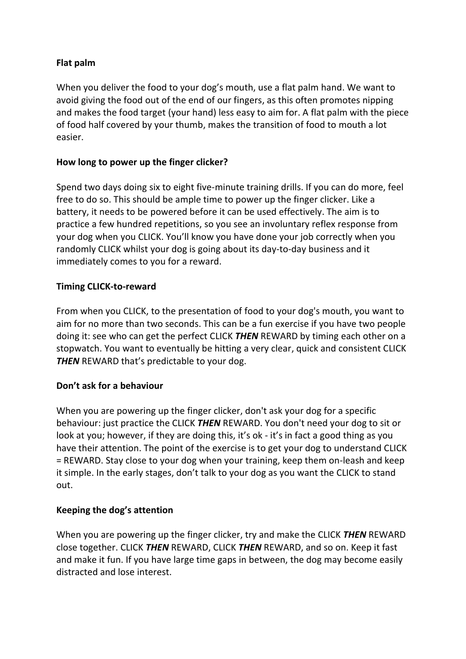# **Flat palm**

When you deliver the food to your dog's mouth, use a flat palm hand. We want to avoid giving the food out of the end of our fingers, as this often promotes nipping and makes the food target (your hand) less easy to aim for. A flat palm with the piece of food half covered by your thumb, makes the transition of food to mouth a lot easier.

# **How long to power up the finger clicker?**

Spend two days doing six to eight five-minute training drills. If you can do more, feel free to do so. This should be ample time to power up the finger clicker. Like a battery, it needs to be powered before it can be used effectively. The aim is to practice a few hundred repetitions, so you see an involuntary reflex response from your dog when you CLICK. You'll know you have done your job correctly when you randomly CLICK whilst your dog is going about its day-to-day business and it immediately comes to you for a reward.

# **Timing CLICK-to-reward**

From when you CLICK, to the presentation of food to your dog's mouth, you want to aim for no more than two seconds. This can be a fun exercise if you have two people doing it: see who can get the perfect CLICK *THEN* REWARD by timing each other on a stopwatch. You want to eventually be hitting a very clear, quick and consistent CLICK **THEN** REWARD that's predictable to your dog.

# **Don't ask for a behaviour**

When you are powering up the finger clicker, don't ask your dog for a specific behaviour: just practice the CLICK *THEN* REWARD. You don't need your dog to sit or look at you; however, if they are doing this, it's ok - it's in fact a good thing as you have their attention. The point of the exercise is to get your dog to understand CLICK = REWARD. Stay close to your dog when your training, keep them on-leash and keep it simple. In the early stages, don't talk to your dog as you want the CLICK to stand out.

# **Keeping the dog's attention**

When you are powering up the finger clicker, try and make the CLICK *THEN* REWARD close together. CLICK *THEN* REWARD, CLICK *THEN* REWARD, and so on. Keep it fast and make it fun. If you have large time gaps in between, the dog may become easily distracted and lose interest.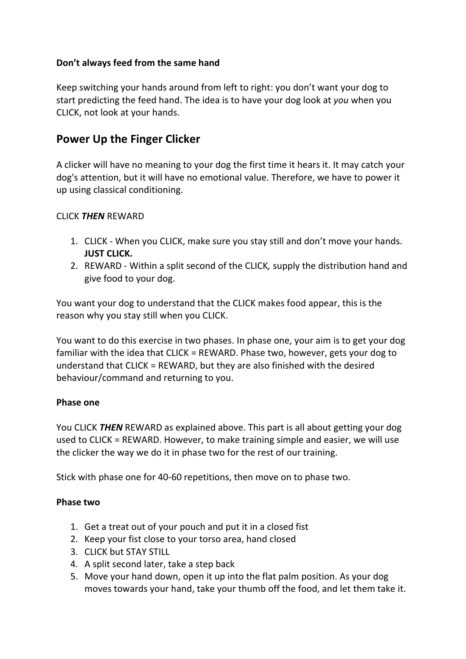# **Don't always feed from the same hand**

Keep switching your hands around from left to right: you don't want your dog to start predicting the feed hand. The idea is to have your dog look at *you* when you CLICK, not look at your hands.

# **Power Up the Finger Clicker**

A clicker will have no meaning to your dog the first time it hears it. It may catch your dog's attention, but it will have no emotional value. Therefore, we have to power it up using classical conditioning.

# CLICK *THEN* REWARD

- 1. CLICK When you CLICK, make sure you stay still and don't move your hands. **JUST CLICK.**
- 2. REWARD Within a split second of the CLICK*,* supply the distribution hand and give food to your dog.

You want your dog to understand that the CLICK makes food appear, this is the reason why you stay still when you CLICK.

You want to do this exercise in two phases. In phase one, your aim is to get your dog familiar with the idea that CLICK = REWARD. Phase two, however, gets your dog to understand that CLICK = REWARD, but they are also finished with the desired behaviour/command and returning to you.

# **Phase one**

You CLICK *THEN* REWARD as explained above. This part is all about getting your dog used to CLICK = REWARD. However, to make training simple and easier, we will use the clicker the way we do it in phase two for the rest of our training.

Stick with phase one for 40-60 repetitions, then move on to phase two.

# **Phase two**

- 1. Get a treat out of your pouch and put it in a closed fist
- 2. Keep your fist close to your torso area, hand closed
- 3. CLICK but STAY STILL
- 4. A split second later, take a step back
- 5. Move your hand down, open it up into the flat palm position. As your dog moves towards your hand, take your thumb off the food, and let them take it.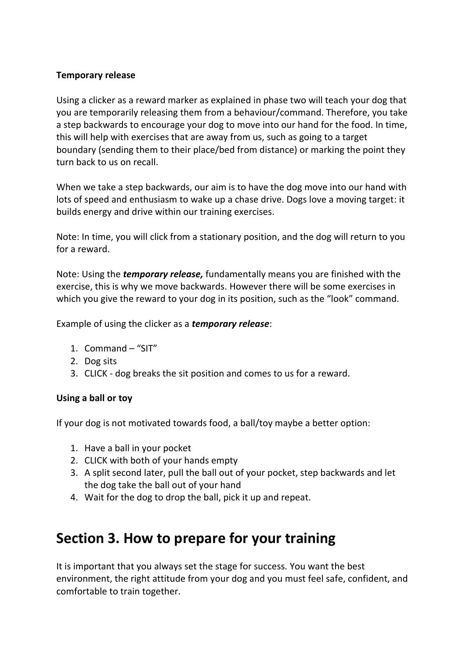# **Temporary release**

Using a clicker as a reward marker as explained in phase two will teach your dog that you are temporarily releasing them from a behaviour/command. Therefore, you take a step backwards to encourage your dog to move into our hand for the food. In time, this will help with exercises that are away from us, such as going to a target boundary (sending them to their place/bed from distance) or marking the point they turn back to us on recall.

When we take a step backwards, our aim is to have the dog move into our hand with lots of speed and enthusiasm to wake up a chase drive. Dogs love a moving target: it builds energy and drive within our training exercises.

Note: In time, you will click from a stationary position, and the dog will return to you for a reward.

Note: Using the *temporary release,* fundamentally means you are finished with the exercise, this is why we move backwards. However there will be some exercises in which you give the reward to your dog in its position, such as the "look" command.

Example of using the clicker as a *temporary release*:

- 1. Command "SIT"
- 2. Dog sits
- 3. CLICK dog breaks the sit position and comes to us for a reward.

# **Using a ball or toy**

If your dog is not motivated towards food, a ball/toy maybe a better option:

- 1. Have a ball in your pocket
- 2. CLICK with both of your hands empty
- 3. A split second later, pull the ball out of your pocket, step backwards and let the dog take the ball out of your hand
- 4. Wait for the dog to drop the ball, pick it up and repeat.

# **Section 3. How to prepare for your training**

It is important that you always set the stage for success. You want the best environment, the right attitude from your dog and you must feel safe, confident, and comfortable to train together.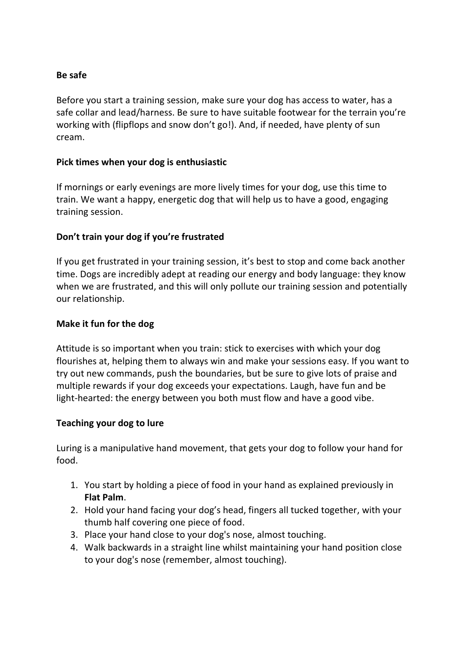### **Be safe**

Before you start a training session, make sure your dog has access to water, has a safe collar and lead/harness. Be sure to have suitable footwear for the terrain you're working with (flipflops and snow don't go!). And, if needed, have plenty of sun cream.

#### **Pick times when your dog is enthusiastic**

If mornings or early evenings are more lively times for your dog, use this time to train. We want a happy, energetic dog that will help us to have a good, engaging training session.

# **Don't train your dog if you're frustrated**

If you get frustrated in your training session, it's best to stop and come back another time. Dogs are incredibly adept at reading our energy and body language: they know when we are frustrated, and this will only pollute our training session and potentially our relationship.

#### **Make it fun for the dog**

Attitude is so important when you train: stick to exercises with which your dog flourishes at, helping them to always win and make your sessions easy. If you want to try out new commands, push the boundaries, but be sure to give lots of praise and multiple rewards if your dog exceeds your expectations. Laugh, have fun and be light-hearted: the energy between you both must flow and have a good vibe.

#### **Teaching your dog to lure**

Luring is a manipulative hand movement, that gets your dog to follow your hand for food.

- 1. You start by holding a piece of food in your hand as explained previously in **Flat Palm**.
- 2. Hold your hand facing your dog's head, fingers all tucked together, with your thumb half covering one piece of food.
- 3. Place your hand close to your dog's nose, almost touching.
- 4. Walk backwards in a straight line whilst maintaining your hand position close to your dog's nose (remember, almost touching).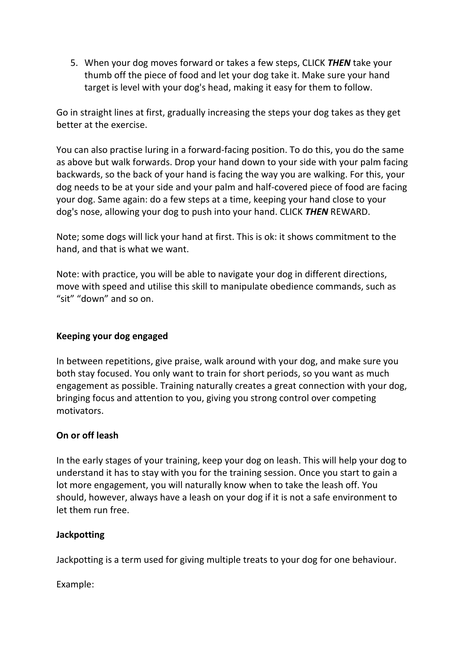5. When your dog moves forward or takes a few steps, CLICK *THEN* take your thumb off the piece of food and let your dog take it. Make sure your hand target is level with your dog's head, making it easy for them to follow.

Go in straight lines at first, gradually increasing the steps your dog takes as they get better at the exercise.

You can also practise luring in a forward-facing position. To do this, you do the same as above but walk forwards. Drop your hand down to your side with your palm facing backwards, so the back of your hand is facing the way you are walking. For this, your dog needs to be at your side and your palm and half-covered piece of food are facing your dog. Same again: do a few steps at a time, keeping your hand close to your dog's nose, allowing your dog to push into your hand. CLICK *THEN* REWARD.

Note; some dogs will lick your hand at first. This is ok: it shows commitment to the hand, and that is what we want.

Note: with practice, you will be able to navigate your dog in different directions, move with speed and utilise this skill to manipulate obedience commands, such as "sit" "down" and so on.

# **Keeping your dog engaged**

In between repetitions, give praise, walk around with your dog, and make sure you both stay focused. You only want to train for short periods, so you want as much engagement as possible. Training naturally creates a great connection with your dog, bringing focus and attention to you, giving you strong control over competing motivators.

# **On or off leash**

In the early stages of your training, keep your dog on leash. This will help your dog to understand it has to stay with you for the training session. Once you start to gain a lot more engagement, you will naturally know when to take the leash off. You should, however, always have a leash on your dog if it is not a safe environment to let them run free.

# **Jackpotting**

Jackpotting is a term used for giving multiple treats to your dog for one behaviour.

Example: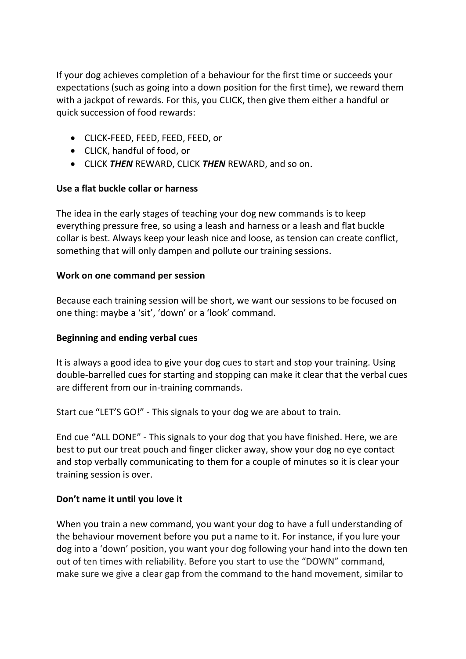If your dog achieves completion of a behaviour for the first time or succeeds your expectations (such as going into a down position for the first time), we reward them with a jackpot of rewards. For this, you CLICK, then give them either a handful or quick succession of food rewards:

- CLICK-FEED, FEED, FEED, FEED, or
- CLICK, handful of food, or
- CLICK *THEN* REWARD, CLICK *THEN* REWARD, and so on.

# **Use a flat buckle collar or harness**

The idea in the early stages of teaching your dog new commands is to keep everything pressure free, so using a leash and harness or a leash and flat buckle collar is best. Always keep your leash nice and loose, as tension can create conflict, something that will only dampen and pollute our training sessions.

# **Work on one command per session**

Because each training session will be short, we want our sessions to be focused on one thing: maybe a 'sit', 'down' or a 'look' command.

# **Beginning and ending verbal cues**

It is always a good idea to give your dog cues to start and stop your training. Using double-barrelled cues for starting and stopping can make it clear that the verbal cues are different from our in-training commands.

Start cue "LET'S GO!" - This signals to your dog we are about to train.

End cue "ALL DONE" - This signals to your dog that you have finished. Here, we are best to put our treat pouch and finger clicker away, show your dog no eye contact and stop verbally communicating to them for a couple of minutes so it is clear your training session is over.

# **Don't name it until you love it**

When you train a new command, you want your dog to have a full understanding of the behaviour movement before you put a name to it. For instance, if you lure your dog into a 'down' position, you want your dog following your hand into the down ten out of ten times with reliability. Before you start to use the "DOWN" command, make sure we give a clear gap from the command to the hand movement, similar to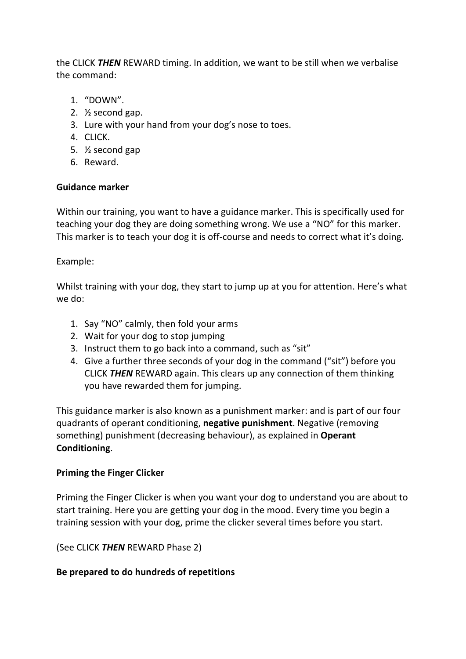the CLICK *THEN* REWARD timing. In addition, we want to be still when we verbalise the command:

- 1. "DOWN".
- 2. ½ second gap.
- 3. Lure with your hand from your dog's nose to toes.
- 4. CLICK.
- 5. ½ second gap
- 6. Reward.

# **Guidance marker**

Within our training, you want to have a guidance marker. This is specifically used for teaching your dog they are doing something wrong. We use a "NO" for this marker. This marker is to teach your dog it is off-course and needs to correct what it's doing.

Example:

Whilst training with your dog, they start to jump up at you for attention. Here's what we do:

- 1. Say "NO" calmly, then fold your arms
- 2. Wait for your dog to stop jumping
- 3. Instruct them to go back into a command, such as "sit"
- 4. Give a further three seconds of your dog in the command ("sit") before you CLICK *THEN* REWARD again. This clears up any connection of them thinking you have rewarded them for jumping.

This guidance marker is also known as a punishment marker: and is part of our four quadrants of operant conditioning, **negative punishment**. Negative (removing something) punishment (decreasing behaviour), as explained in **Operant Conditioning**.

# **Priming the Finger Clicker**

Priming the Finger Clicker is when you want your dog to understand you are about to start training. Here you are getting your dog in the mood. Every time you begin a training session with your dog, prime the clicker several times before you start.

(See CLICK *THEN* REWARD Phase 2)

# **Be prepared to do hundreds of repetitions**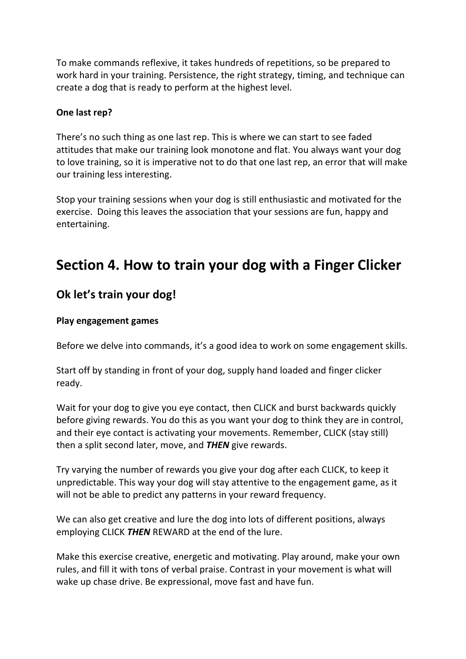To make commands reflexive, it takes hundreds of repetitions, so be prepared to work hard in your training. Persistence, the right strategy, timing, and technique can create a dog that is ready to perform at the highest level.

# **One last rep?**

There's no such thing as one last rep. This is where we can start to see faded attitudes that make our training look monotone and flat. You always want your dog to love training, so it is imperative not to do that one last rep, an error that will make our training less interesting.

Stop your training sessions when your dog is still enthusiastic and motivated for the exercise. Doing this leaves the association that your sessions are fun, happy and entertaining.

# **Section 4. How to train your dog with a Finger Clicker**

# **Ok let's train your dog!**

#### **Play engagement games**

Before we delve into commands, it's a good idea to work on some engagement skills.

Start off by standing in front of your dog, supply hand loaded and finger clicker ready.

Wait for your dog to give you eye contact, then CLICK and burst backwards quickly before giving rewards. You do this as you want your dog to think they are in control, and their eye contact is activating your movements. Remember, CLICK (stay still) then a split second later, move, and *THEN* give rewards.

Try varying the number of rewards you give your dog after each CLICK, to keep it unpredictable. This way your dog will stay attentive to the engagement game, as it will not be able to predict any patterns in your reward frequency.

We can also get creative and lure the dog into lots of different positions, always employing CLICK *THEN* REWARD at the end of the lure.

Make this exercise creative, energetic and motivating. Play around, make your own rules, and fill it with tons of verbal praise. Contrast in your movement is what will wake up chase drive. Be expressional, move fast and have fun.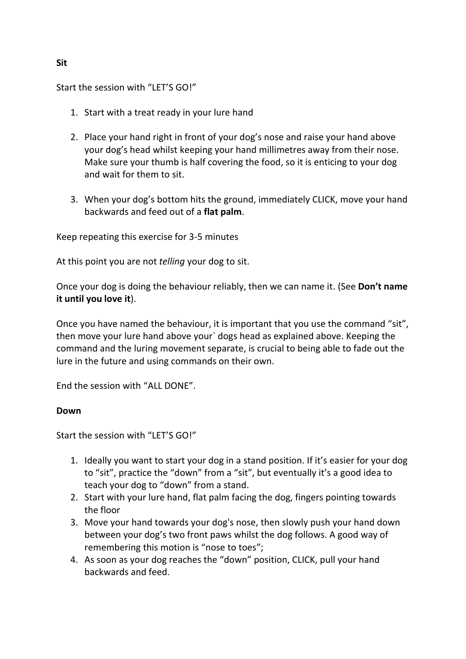Start the session with "LET'S GO!"

- 1. Start with a treat ready in your lure hand
- 2. Place your hand right in front of your dog's nose and raise your hand above your dog's head whilst keeping your hand millimetres away from their nose. Make sure your thumb is half covering the food, so it is enticing to your dog and wait for them to sit.
- 3. When your dog's bottom hits the ground, immediately CLICK, move your hand backwards and feed out of a **flat palm**.

Keep repeating this exercise for 3-5 minutes

At this point you are not *telling* your dog to sit.

Once your dog is doing the behaviour reliably, then we can name it. (See **Don't name it until you love it**).

Once you have named the behaviour, it is important that you use the command "sit", then move your lure hand above your` dogs head as explained above. Keeping the command and the luring movement separate, is crucial to being able to fade out the lure in the future and using commands on their own.

End the session with "ALL DONE".

# **Down**

Start the session with "LET'S GO!"

- 1. Ideally you want to start your dog in a stand position. If it's easier for your dog to "sit", practice the "down" from a "sit", but eventually it's a good idea to teach your dog to "down" from a stand.
- 2. Start with your lure hand, flat palm facing the dog, fingers pointing towards the floor
- 3. Move your hand towards your dog's nose, then slowly push your hand down between your dog's two front paws whilst the dog follows. A good way of remembering this motion is "nose to toes";
- 4. As soon as your dog reaches the "down" position, CLICK, pull your hand backwards and feed.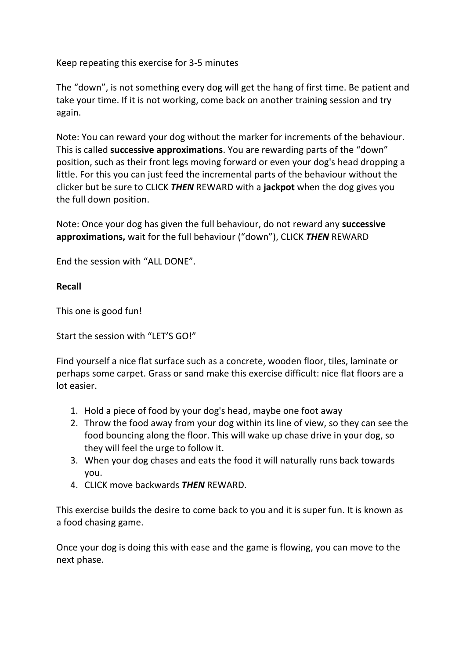Keep repeating this exercise for 3-5 minutes

The "down", is not something every dog will get the hang of first time. Be patient and take your time. If it is not working, come back on another training session and try again.

Note: You can reward your dog without the marker for increments of the behaviour. This is called **successive approximations**. You are rewarding parts of the "down" position, such as their front legs moving forward or even your dog's head dropping a little. For this you can just feed the incremental parts of the behaviour without the clicker but be sure to CLICK *THEN* REWARD with a **jackpot** when the dog gives you the full down position.

Note: Once your dog has given the full behaviour, do not reward any **successive approximations,** wait for the full behaviour ("down"), CLICK *THEN* REWARD

End the session with "ALL DONE".

# **Recall**

This one is good fun!

Start the session with "LET'S GO!"

Find yourself a nice flat surface such as a concrete, wooden floor, tiles, laminate or perhaps some carpet. Grass or sand make this exercise difficult: nice flat floors are a lot easier.

- 1. Hold a piece of food by your dog's head, maybe one foot away
- 2. Throw the food away from your dog within its line of view, so they can see the food bouncing along the floor. This will wake up chase drive in your dog, so they will feel the urge to follow it.
- 3. When your dog chases and eats the food it will naturally runs back towards you.
- 4. CLICK move backwards *THEN* REWARD.

This exercise builds the desire to come back to you and it is super fun. It is known as a food chasing game.

Once your dog is doing this with ease and the game is flowing, you can move to the next phase.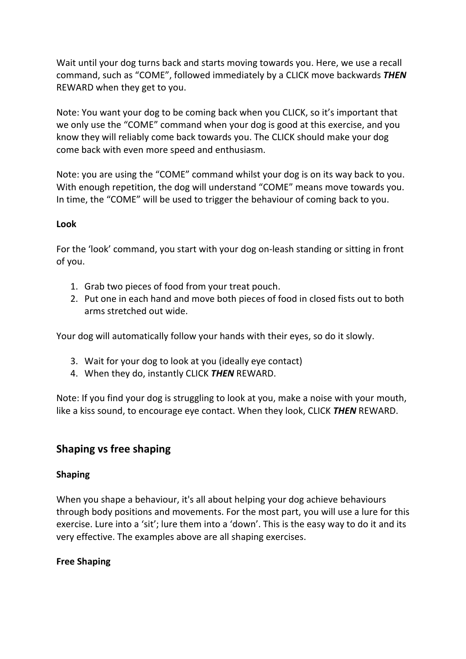Wait until your dog turns back and starts moving towards you. Here, we use a recall command, such as "COME", followed immediately by a CLICK move backwards *THEN* REWARD when they get to you.

Note: You want your dog to be coming back when you CLICK, so it's important that we only use the "COME" command when your dog is good at this exercise, and you know they will reliably come back towards you. The CLICK should make your dog come back with even more speed and enthusiasm.

Note: you are using the "COME" command whilst your dog is on its way back to you. With enough repetition, the dog will understand "COME" means move towards you. In time, the "COME" will be used to trigger the behaviour of coming back to you.

# **Look**

For the 'look' command, you start with your dog on-leash standing or sitting in front of you.

- 1. Grab two pieces of food from your treat pouch.
- 2. Put one in each hand and move both pieces of food in closed fists out to both arms stretched out wide.

Your dog will automatically follow your hands with their eyes, so do it slowly.

- 3. Wait for your dog to look at you (ideally eye contact)
- 4. When they do, instantly CLICK *THEN* REWARD.

Note: If you find your dog is struggling to look at you, make a noise with your mouth, like a kiss sound, to encourage eye contact. When they look, CLICK *THEN* REWARD.

# **Shaping vs free shaping**

# **Shaping**

When you shape a behaviour, it's all about helping your dog achieve behaviours through body positions and movements. For the most part, you will use a lure for this exercise. Lure into a 'sit'; lure them into a 'down'. This is the easy way to do it and its very effective. The examples above are all shaping exercises.

# **Free Shaping**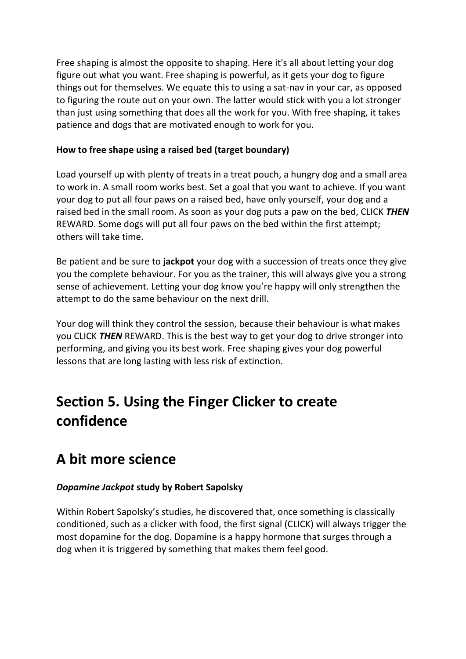Free shaping is almost the opposite to shaping. Here it's all about letting your dog figure out what you want. Free shaping is powerful, as it gets your dog to figure things out for themselves. We equate this to using a sat-nav in your car, as opposed to figuring the route out on your own. The latter would stick with you a lot stronger than just using something that does all the work for you. With free shaping, it takes patience and dogs that are motivated enough to work for you.

# **How to free shape using a raised bed (target boundary)**

Load yourself up with plenty of treats in a treat pouch, a hungry dog and a small area to work in. A small room works best. Set a goal that you want to achieve. If you want your dog to put all four paws on a raised bed, have only yourself, your dog and a raised bed in the small room. As soon as your dog puts a paw on the bed, CLICK *THEN*  REWARD. Some dogs will put all four paws on the bed within the first attempt; others will take time.

Be patient and be sure to **jackpot** your dog with a succession of treats once they give you the complete behaviour. For you as the trainer, this will always give you a strong sense of achievement. Letting your dog know you're happy will only strengthen the attempt to do the same behaviour on the next drill.

Your dog will think they control the session, because their behaviour is what makes you CLICK *THEN* REWARD. This is the best way to get your dog to drive stronger into performing, and giving you its best work. Free shaping gives your dog powerful lessons that are long lasting with less risk of extinction.

# **Section 5. Using the Finger Clicker to create confidence**

# **A bit more science**

# *Dopamine Jackpot* **study by Robert Sapolsky**

Within Robert Sapolsky's studies, he discovered that, once something is classically conditioned, such as a clicker with food, the first signal (CLICK) will always trigger the most dopamine for the dog. Dopamine is a happy hormone that surges through a dog when it is triggered by something that makes them feel good.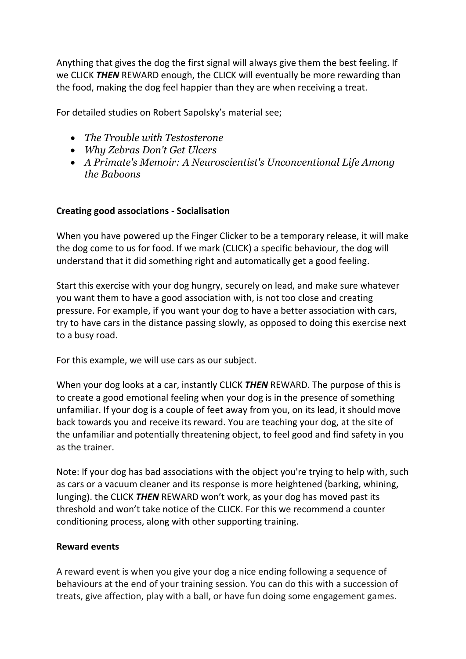Anything that gives the dog the first signal will always give them the best feeling. If we CLICK *THEN* REWARD enough, the CLICK will eventually be more rewarding than the food, making the dog feel happier than they are when receiving a treat.

For detailed studies on Robert Sapolsky's material see;

- *The Trouble with Testosterone*
- *Why Zebras Don't Get Ulcers*
- *A Primate's Memoir: A Neuroscientist's Unconventional Life Among the Baboons*

# **Creating good associations - Socialisation**

When you have powered up the Finger Clicker to be a temporary release, it will make the dog come to us for food. If we mark (CLICK) a specific behaviour, the dog will understand that it did something right and automatically get a good feeling.

Start this exercise with your dog hungry, securely on lead, and make sure whatever you want them to have a good association with, is not too close and creating pressure. For example, if you want your dog to have a better association with cars, try to have cars in the distance passing slowly, as opposed to doing this exercise next to a busy road.

For this example, we will use cars as our subject.

When your dog looks at a car, instantly CLICK *THEN* REWARD. The purpose of this is to create a good emotional feeling when your dog is in the presence of something unfamiliar. If your dog is a couple of feet away from you, on its lead, it should move back towards you and receive its reward. You are teaching your dog, at the site of the unfamiliar and potentially threatening object, to feel good and find safety in you as the trainer.

Note: If your dog has bad associations with the object you're trying to help with, such as cars or a vacuum cleaner and its response is more heightened (barking, whining, lunging). the CLICK *THEN* REWARD won't work, as your dog has moved past its threshold and won't take notice of the CLICK. For this we recommend a counter conditioning process, along with other supporting training.

# **Reward events**

A reward event is when you give your dog a nice ending following a sequence of behaviours at the end of your training session. You can do this with a succession of treats, give affection, play with a ball, or have fun doing some engagement games.